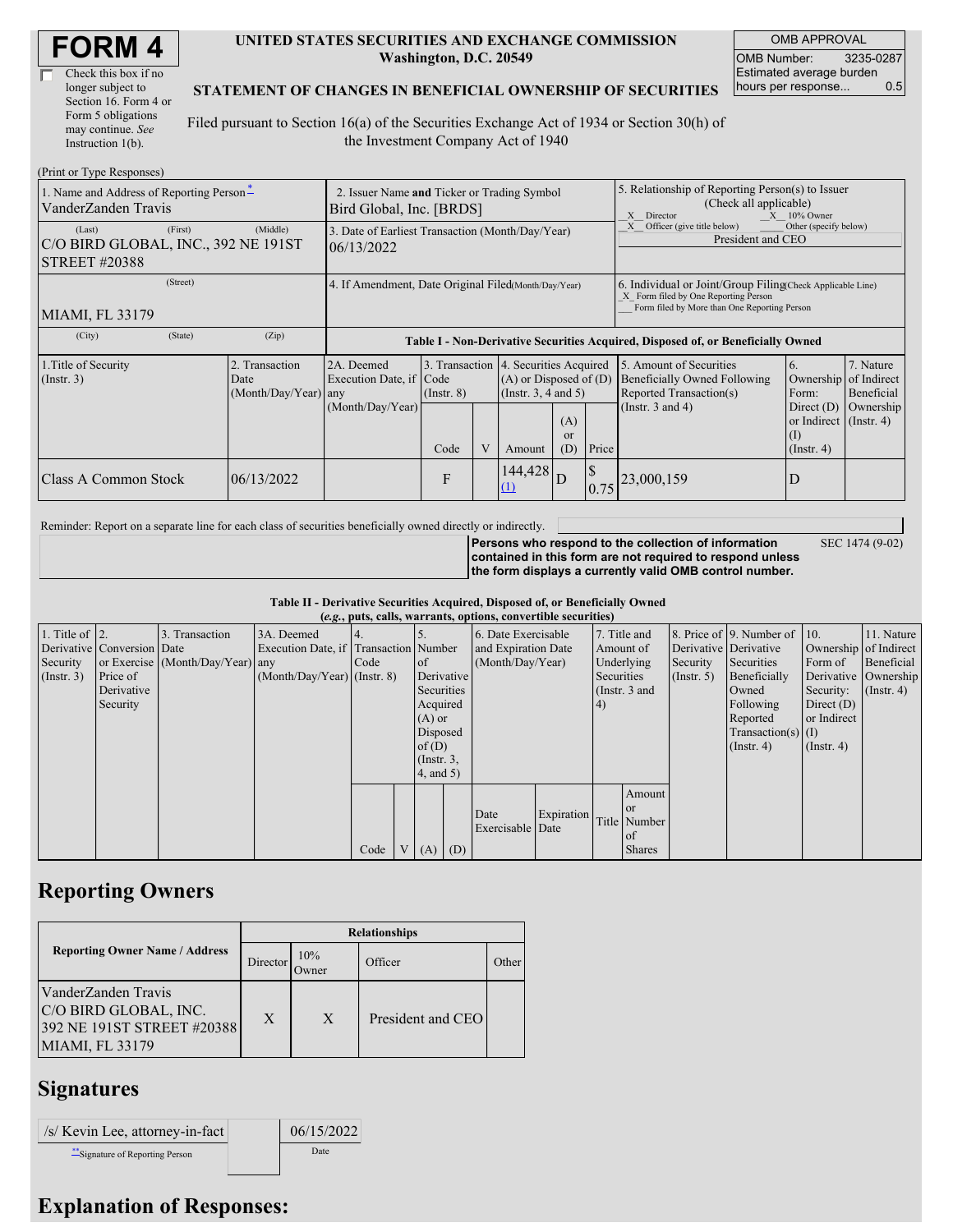| <b>FORM4</b> |
|--------------|
|--------------|

| Check this box if no  |
|-----------------------|
| longer subject to     |
| Section 16. Form 4 or |
| Form 5 obligations    |
| may continue. See     |
| Instruction 1(b).     |

#### **UNITED STATES SECURITIES AND EXCHANGE COMMISSION Washington, D.C. 20549**

OMB APPROVAL OMB Number: 3235-0287 Estimated average burden hours per response... 0.5

SEC 1474 (9-02)

#### **STATEMENT OF CHANGES IN BENEFICIAL OWNERSHIP OF SECURITIES**

Filed pursuant to Section 16(a) of the Securities Exchange Act of 1934 or Section 30(h) of the Investment Company Act of 1940

| (Print or Type Responses)                                                        |                                                                         |                                                           |                         |   |                                                                                                                                               |  |                                                                                                                                                    |                                                                                                                    |                                                                                                     |                                                     |  |
|----------------------------------------------------------------------------------|-------------------------------------------------------------------------|-----------------------------------------------------------|-------------------------|---|-----------------------------------------------------------------------------------------------------------------------------------------------|--|----------------------------------------------------------------------------------------------------------------------------------------------------|--------------------------------------------------------------------------------------------------------------------|-----------------------------------------------------------------------------------------------------|-----------------------------------------------------|--|
| 1. Name and Address of Reporting Person-<br>VanderZanden Travis                  | 2. Issuer Name and Ticker or Trading Symbol<br>Bird Global, Inc. [BRDS] |                                                           |                         |   |                                                                                                                                               |  | 5. Relationship of Reporting Person(s) to Issuer<br>(Check all applicable)<br>$X = 10\%$ Owner<br>X<br>Director                                    |                                                                                                                    |                                                                                                     |                                                     |  |
| (First)<br>(Last)<br>C/O BIRD GLOBAL, INC., 392 NE 191ST<br><b>STREET #20388</b> | 3. Date of Earliest Transaction (Month/Day/Year)<br>06/13/2022          |                                                           |                         |   |                                                                                                                                               |  | Officer (give title below)<br>Other (specify below)<br>President and CEO                                                                           |                                                                                                                    |                                                                                                     |                                                     |  |
| (Street)<br><b>MIAMI, FL 33179</b>                                               | 4. If Amendment, Date Original Filed(Month/Day/Year)                    |                                                           |                         |   |                                                                                                                                               |  | 6. Individual or Joint/Group Filing Check Applicable Line)<br>X Form filed by One Reporting Person<br>Form filed by More than One Reporting Person |                                                                                                                    |                                                                                                     |                                                     |  |
| (City)<br>(State)                                                                | (Zip)                                                                   |                                                           |                         |   |                                                                                                                                               |  |                                                                                                                                                    | Table I - Non-Derivative Securities Acquired, Disposed of, or Beneficially Owned                                   |                                                                                                     |                                                     |  |
| 1. Title of Security<br>$($ Instr. 3 $)$                                         | 2. Transaction<br>Date<br>(Month/Day/Year) any                          | 2A. Deemed<br>Execution Date, if Code<br>(Month/Day/Year) | $($ Instr. $8)$<br>Code | V | 3. Transaction 4. Securities Acquired<br>$(A)$ or Disposed of $(D)$<br>(Insert. 3, 4 and 5)<br>(A)<br><sub>or</sub><br>(D)<br>Price<br>Amount |  |                                                                                                                                                    | 5. Amount of Securities<br><b>Beneficially Owned Following</b><br>Reported Transaction(s)<br>(Instr. $3$ and $4$ ) | 6.<br>Ownership<br>Form:<br>Direct $(D)$<br>or Indirect $($ Instr. 4 $)$<br>(1)<br>$($ Instr. 4 $)$ | 7. Nature<br>of Indirect<br>Beneficial<br>Ownership |  |
| 06/13/2022<br>Class A Common Stock                                               |                                                                         |                                                           | F                       |   | 144,428<br>(1)                                                                                                                                |  | $\mathcal{S}$<br>0.75                                                                                                                              | 23,000,159                                                                                                         | D                                                                                                   |                                                     |  |

Reminder: Report on a separate line for each class of securities beneficially owned directly or indirectly.

**Persons who respond to the collection of information contained in this form are not required to respond unless the form displays a currently valid OMB control number.**

**Table II - Derivative Securities Acquired, Disposed of, or Beneficially Owned**

|                        | (e.g., puts, calls, warrants, options, convertible securities) |                                  |                                       |      |  |                 |     |                     |            |               |               |             |                              |                       |                      |
|------------------------|----------------------------------------------------------------|----------------------------------|---------------------------------------|------|--|-----------------|-----|---------------------|------------|---------------|---------------|-------------|------------------------------|-----------------------|----------------------|
| 1. Title of $\vert$ 2. |                                                                | 3. Transaction                   | 3A. Deemed                            |      |  |                 |     | 6. Date Exercisable |            |               | 7. Title and  |             | 8. Price of 9. Number of 10. |                       | 11. Nature           |
|                        | Derivative Conversion Date                                     |                                  | Execution Date, if Transaction Number |      |  |                 |     | and Expiration Date |            | Amount of     |               |             | Derivative Derivative        | Ownership of Indirect |                      |
| Security               |                                                                | or Exercise (Month/Day/Year) any |                                       | Code |  | <sub>of</sub>   |     | (Month/Day/Year)    |            | Underlying    |               | Security    | Securities                   | Form of               | Beneficial           |
| $($ Instr. 3 $)$       | Price of                                                       |                                  | $(Month/Day/Year)$ (Instr. 8)         |      |  | Derivative      |     |                     |            | Securities    |               | (Insert, 5) | Beneficially                 |                       | Derivative Ownership |
|                        | Derivative                                                     |                                  |                                       |      |  | Securities      |     |                     |            | (Instr. 3 and |               |             | Owned                        | Security:             | $($ Instr. 4)        |
|                        | Security                                                       |                                  |                                       |      |  | Acquired        |     |                     |            | 4)            |               |             | Following                    | Direct $(D)$          |                      |
|                        |                                                                |                                  |                                       |      |  | $(A)$ or        |     |                     |            |               |               |             | Reported                     | or Indirect           |                      |
|                        |                                                                |                                  |                                       |      |  | Disposed        |     |                     |            |               |               |             | $Transaction(s)$ (I)         |                       |                      |
|                        |                                                                |                                  |                                       |      |  | of $(D)$        |     |                     |            |               |               |             | $($ Instr. 4 $)$             | $($ Instr. 4)         |                      |
|                        |                                                                |                                  |                                       |      |  | $($ Instr. $3,$ |     |                     |            |               |               |             |                              |                       |                      |
|                        |                                                                |                                  |                                       |      |  | $4$ , and $5$ ) |     |                     |            |               |               |             |                              |                       |                      |
|                        |                                                                |                                  |                                       |      |  |                 |     |                     |            |               | Amount        |             |                              |                       |                      |
|                        |                                                                |                                  |                                       |      |  |                 |     |                     |            |               | <b>or</b>     |             |                              |                       |                      |
|                        |                                                                |                                  |                                       |      |  |                 |     | Date                | Expiration |               | Title Number  |             |                              |                       |                      |
|                        |                                                                |                                  |                                       |      |  |                 |     | Exercisable Date    |            |               | of            |             |                              |                       |                      |
|                        |                                                                |                                  |                                       | Code |  | V(A)            | (D) |                     |            |               | <b>Shares</b> |             |                              |                       |                      |

## **Reporting Owners**

|                                                                                                      | <b>Relationships</b> |              |                   |       |  |  |  |  |
|------------------------------------------------------------------------------------------------------|----------------------|--------------|-------------------|-------|--|--|--|--|
| <b>Reporting Owner Name / Address</b>                                                                | Director             | 10%<br>Owner | Officer           | Other |  |  |  |  |
| VanderZanden Travis<br>C/O BIRD GLOBAL, INC.<br>392 NE 191ST STREET #20388<br><b>MIAMI, FL 33179</b> | X                    | X            | President and CEO |       |  |  |  |  |

# **Signatures**

| /s/ Kevin Lee, attorney-in-fact  | 06/15/2022 |
|----------------------------------|------------|
| ** Signature of Reporting Person | Date       |

### **Explanation of Responses:**